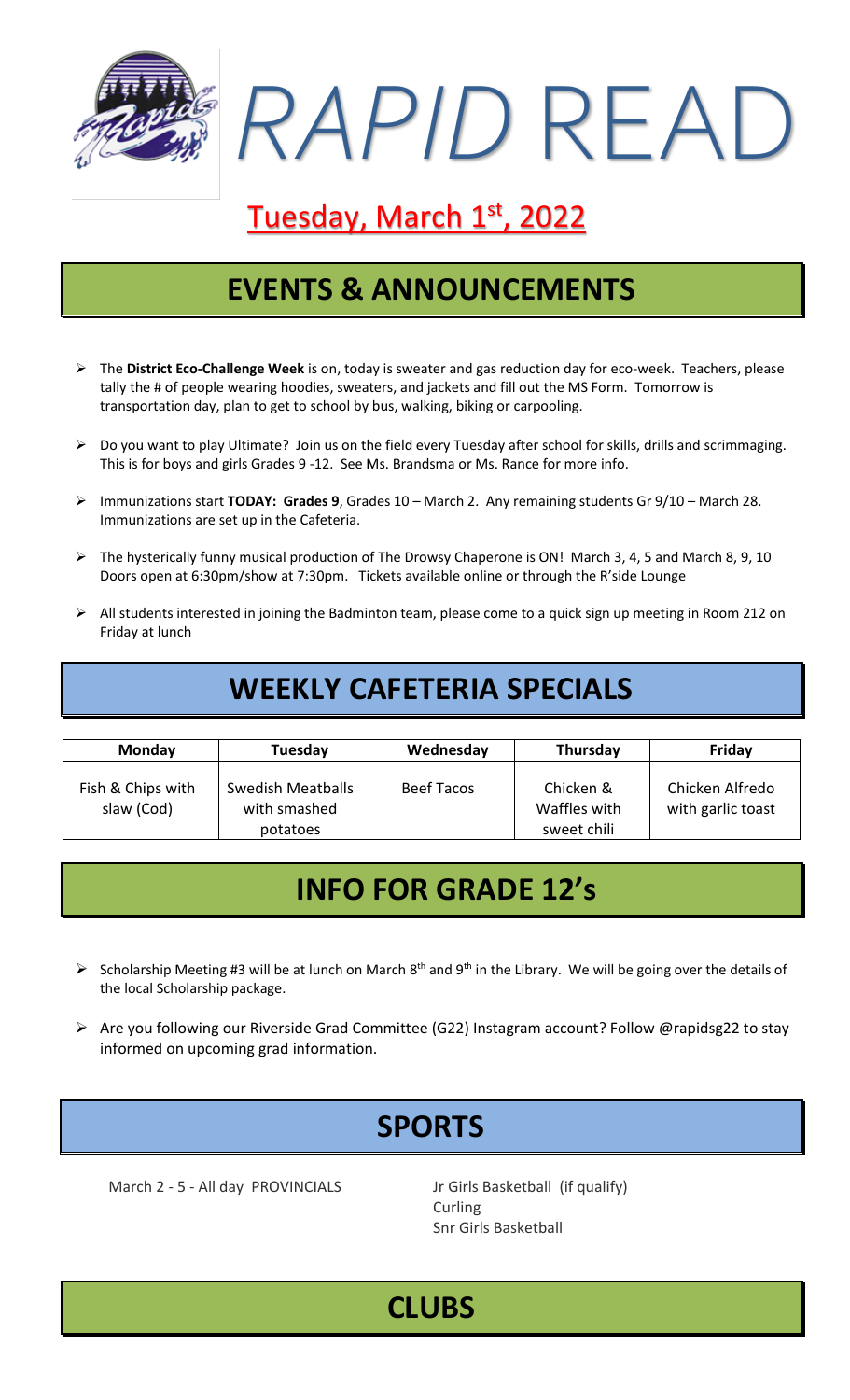

# Tuesday, March 1st, 2022

### **EVENTS & ANNOUNCEMENTS**

- ➢ The **District Eco-Challenge Week** is on, today is sweater and gas reduction day for eco-week. Teachers, please tally the # of people wearing hoodies, sweaters, and jackets and fill out the MS Form. Tomorrow is transportation day, plan to get to school by bus, walking, biking or carpooling.
- ➢ Do you want to play Ultimate? Join us on the field every Tuesday after school for skills, drills and scrimmaging. This is for boys and girls Grades 9 -12. See Ms. Brandsma or Ms. Rance for more info.
- ➢ Immunizations start **TODAY: Grades 9**, Grades 10 March 2. Any remaining students Gr 9/10 March 28. Immunizations are set up in the Cafeteria.
- ➢ The hysterically funny musical production of The Drowsy Chaperone is ON! March 3, 4, 5 and March 8, 9, 10 Doors open at 6:30pm/show at 7:30pm. Tickets available online or through the R'side Lounge
- ➢ All students interested in joining the Badminton team, please come to a quick sign up meeting in Room 212 on Friday at lunch

### **WEEKLY CAFETERIA SPECIALS**

| <b>Monday</b>                   | Tuesday                                              | Wednesday         | Thursday                                 | Friday                               |
|---------------------------------|------------------------------------------------------|-------------------|------------------------------------------|--------------------------------------|
| Fish & Chips with<br>slaw (Cod) | <b>Swedish Meatballs</b><br>with smashed<br>potatoes | <b>Beef Tacos</b> | Chicken &<br>Waffles with<br>sweet chili | Chicken Alfredo<br>with garlic toast |

### **INFO FOR GRADE 12's**

- $\triangleright$  Scholarship Meeting #3 will be at lunch on March 8<sup>th</sup> and 9<sup>th</sup> in the Library. We will be going over the details of the local Scholarship package.
- ➢ Are you following our Riverside Grad Committee (G22) Instagram account? Follow @rapidsg22 to stay informed on upcoming grad information.

# **SPORTS**

March 2 - 5 - All day PROVINCIALS Jr Girls Basketball (if qualify)

**Curling** Snr Girls Basketball

# **CLUBS**